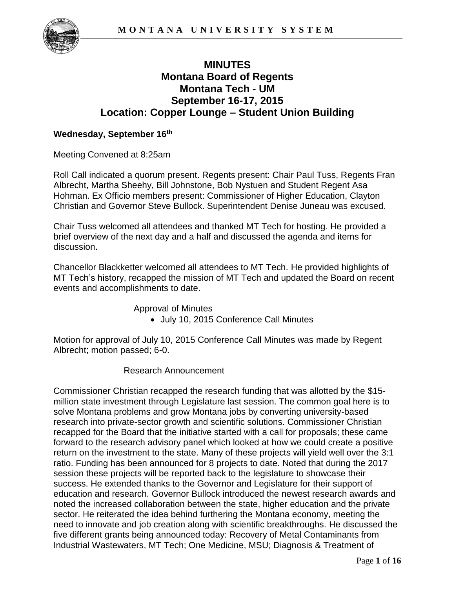

# **MINUTES Montana Board of Regents Montana Tech - UM September 16-17, 2015 Location: Copper Lounge – Student Union Building**

### **Wednesday, September 16th**

Meeting Convened at 8:25am

Roll Call indicated a quorum present. Regents present: Chair Paul Tuss, Regents Fran Albrecht, Martha Sheehy, Bill Johnstone, Bob Nystuen and Student Regent Asa Hohman. Ex Officio members present: Commissioner of Higher Education, Clayton Christian and Governor Steve Bullock. Superintendent Denise Juneau was excused.

Chair Tuss welcomed all attendees and thanked MT Tech for hosting. He provided a brief overview of the next day and a half and discussed the agenda and items for discussion.

Chancellor Blackketter welcomed all attendees to MT Tech. He provided highlights of MT Tech's history, recapped the mission of MT Tech and updated the Board on recent events and accomplishments to date.

Approval of Minutes

July 10, 2015 Conference Call Minutes

Motion for approval of July 10, 2015 Conference Call Minutes was made by Regent Albrecht; motion passed; 6-0.

#### Research Announcement

Commissioner Christian recapped the research funding that was allotted by the \$15 million state investment through Legislature last session. The common goal here is to solve Montana problems and grow Montana jobs by converting university-based research into private-sector growth and scientific solutions. Commissioner Christian recapped for the Board that the initiative started with a call for proposals; these came forward to the research advisory panel which looked at how we could create a positive return on the investment to the state. Many of these projects will yield well over the 3:1 ratio. Funding has been announced for 8 projects to date. Noted that during the 2017 session these projects will be reported back to the legislature to showcase their success. He extended thanks to the Governor and Legislature for their support of education and research. Governor Bullock introduced the newest research awards and noted the increased collaboration between the state, higher education and the private sector. He reiterated the idea behind furthering the Montana economy, meeting the need to innovate and job creation along with scientific breakthroughs. He discussed the five different grants being announced today: Recovery of Metal Contaminants from Industrial Wastewaters, MT Tech; One Medicine, MSU; Diagnosis & Treatment of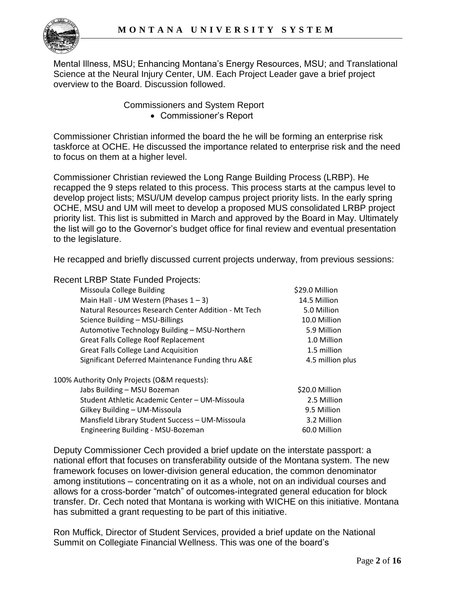Mental Illness, MSU; Enhancing Montana's Energy Resources, MSU; and Translational Science at the Neural Injury Center, UM. Each Project Leader gave a brief project overview to the Board. Discussion followed.

Commissioners and System Report

Commissioner's Report

Commissioner Christian informed the board the he will be forming an enterprise risk taskforce at OCHE. He discussed the importance related to enterprise risk and the need to focus on them at a higher level.

Commissioner Christian reviewed the Long Range Building Process (LRBP). He recapped the 9 steps related to this process. This process starts at the campus level to develop project lists; MSU/UM develop campus project priority lists. In the early spring OCHE, MSU and UM will meet to develop a proposed MUS consolidated LRBP project priority list. This list is submitted in March and approved by the Board in May. Ultimately the list will go to the Governor's budget office for final review and eventual presentation to the legislature.

He recapped and briefly discussed current projects underway, from previous sessions:

Recent LRBP State Funded Projects:

| Missoula College Building                            | \$29.0 Million   |
|------------------------------------------------------|------------------|
| Main Hall - UM Western (Phases $1 - 3$ )             | 14.5 Million     |
| Natural Resources Research Center Addition - Mt Tech | 5.0 Million      |
| Science Building - MSU-Billings                      | 10.0 Million     |
| Automotive Technology Building - MSU-Northern        | 5.9 Million      |
| <b>Great Falls College Roof Replacement</b>          | 1.0 Million      |
| <b>Great Falls College Land Acquisition</b>          | 1.5 million      |
| Significant Deferred Maintenance Funding thru A&E    | 4.5 million plus |
| 100% Authority Only Projects (O&M requests):         |                  |
| Jabs Building - MSU Bozeman                          | \$20.0 Million   |
| Student Athletic Academic Center - UM-Missoula       | 2.5 Million      |
| Gilkey Building - UM-Missoula                        | 9.5 Million      |
| Mansfield Library Student Success - UM-Missoula      | 3.2 Million      |
| Engineering Building - MSU-Bozeman                   | 60.0 Million     |

Deputy Commissioner Cech provided a brief update on the interstate passport: a national effort that focuses on transferability outside of the Montana system. The new framework focuses on lower-division general education, the common denominator among institutions – concentrating on it as a whole, not on an individual courses and allows for a cross-border "match" of outcomes-integrated general education for block transfer. Dr. Cech noted that Montana is working with WICHE on this initiative. Montana has submitted a grant requesting to be part of this initiative.

Ron Muffick, Director of Student Services, provided a brief update on the National Summit on Collegiate Financial Wellness. This was one of the board's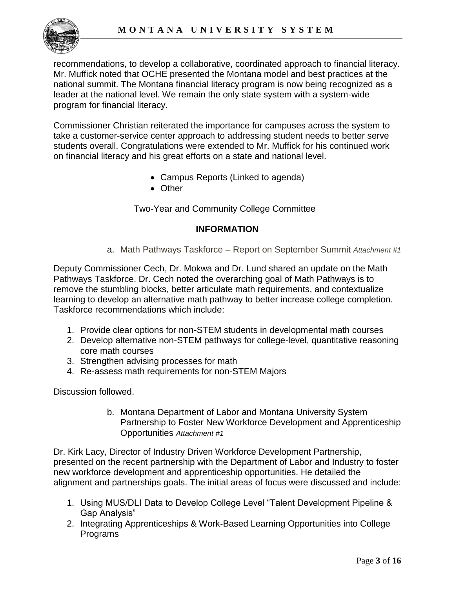

recommendations, to develop a collaborative, coordinated approach to financial literacy. Mr. Muffick noted that OCHE presented the Montana model and best practices at the national summit. The Montana financial literacy program is now being recognized as a leader at the national level. We remain the only state system with a system-wide program for financial literacy.

Commissioner Christian reiterated the importance for campuses across the system to take a customer-service center approach to addressing student needs to better serve students overall. Congratulations were extended to Mr. Muffick for his continued work on financial literacy and his great efforts on a state and national level.

- Campus Reports (Linked to agenda)
- Other

Two-Year and Community College Committee

### **INFORMATION**

a. Math Pathways Taskforce – Report on September Summit *Attachment #1*

Deputy Commissioner Cech, Dr. Mokwa and Dr. Lund shared an update on the Math Pathways Taskforce. Dr. Cech noted the overarching goal of Math Pathways is to remove the stumbling blocks, better articulate math requirements, and contextualize learning to develop an alternative math pathway to better increase college completion. Taskforce recommendations which include:

- 1. Provide clear options for non-STEM students in developmental math courses
- 2. Develop alternative non-STEM pathways for college-level, quantitative reasoning core math courses
- 3. Strengthen advising processes for math
- 4. Re-assess math requirements for non-STEM Majors

Discussion followed.

b. Montana Department of Labor and Montana University System Partnership to Foster New Workforce Development and Apprenticeship Opportunities *Attachment #1*

Dr. Kirk Lacy, Director of Industry Driven Workforce Development Partnership, presented on the recent partnership with the Department of Labor and Industry to foster new workforce development and apprenticeship opportunities. He detailed the alignment and partnerships goals. The initial areas of focus were discussed and include:

- 1. Using MUS/DLI Data to Develop College Level "Talent Development Pipeline & Gap Analysis"
- 2. Integrating Apprenticeships & Work‐Based Learning Opportunities into College Programs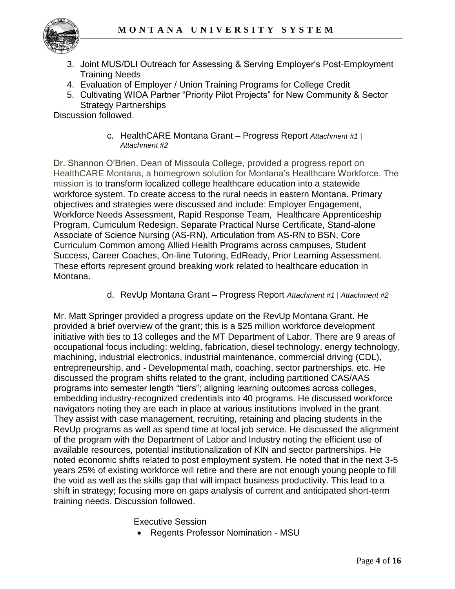

- 3. Joint MUS/DLI Outreach for Assessing & Serving Employer's Post‐Employment Training Needs
- 4. Evaluation of Employer / Union Training Programs for College Credit
- 5. Cultivating WIOA Partner "Priority Pilot Projects" for New Community & Sector Strategy Partnerships

Discussion followed.

c. HealthCARE Montana Grant – Progress Report *Attachment #1 | Attachment #2*

Dr. Shannon O'Brien, Dean of Missoula College, provided a progress report on HealthCARE Montana, a homegrown solution for Montana's Healthcare Workforce. The mission is to transform localized college healthcare education into a statewide workforce system. To create access to the rural needs in eastern Montana. Primary objectives and strategies were discussed and include: Employer Engagement, Workforce Needs Assessment, Rapid Response Team, Healthcare Apprenticeship Program, Curriculum Redesign, Separate Practical Nurse Certificate, Stand-alone Associate of Science Nursing (AS-RN), Articulation from AS-RN to BSN, Core Curriculum Common among Allied Health Programs across campuses, Student Success, Career Coaches, On-line Tutoring, EdReady, Prior Learning Assessment. These efforts represent ground breaking work related to healthcare education in Montana.

d. RevUp Montana Grant – Progress Report *Attachment #1 | Attachment #2*

Mr. Matt Springer provided a progress update on the RevUp Montana Grant. He provided a brief overview of the grant; this is a \$25 million workforce development initiative with ties to 13 colleges and the MT Department of Labor. There are 9 areas of occupational focus including: welding, fabrication, diesel technology, energy technology, machining, industrial electronics, industrial maintenance, commercial driving (CDL), entrepreneurship, and ‐ Developmental math, coaching, sector partnerships, etc. He discussed the program shifts related to the grant, including partitioned CAS/AAS programs into semester length "tiers"; aligning learning outcomes across colleges, embedding industry-recognized credentials into 40 programs. He discussed workforce navigators noting they are each in place at various institutions involved in the grant. They assist with case management, recruiting, retaining and placing students in the RevUp programs as well as spend time at local job service. He discussed the alignment of the program with the Department of Labor and Industry noting the efficient use of available resources, potential institutionalization of KIN and sector partnerships. He noted economic shifts related to post employment system. He noted that in the next 3-5 years 25% of existing workforce will retire and there are not enough young people to fill the void as well as the skills gap that will impact business productivity. This lead to a shift in strategy; focusing more on gaps analysis of current and anticipated short-term training needs. Discussion followed.

Executive Session

Regents Professor Nomination - MSU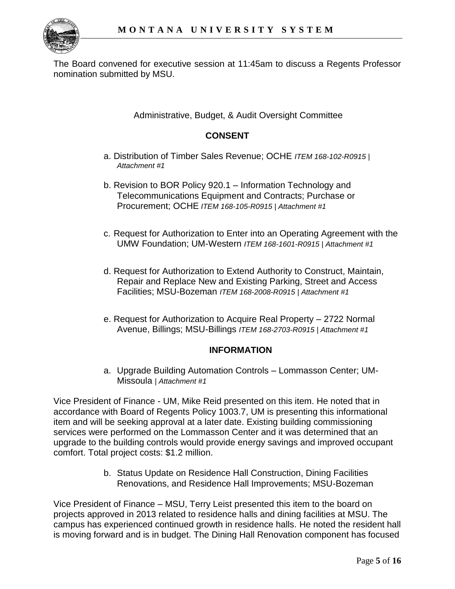

The Board convened for executive session at 11:45am to discuss a Regents Professor nomination submitted by MSU.

Administrative, Budget, & Audit Oversight Committee

## **CONSENT**

- a. Distribution of Timber Sales Revenue; OCHE *ITEM 168-102-R0915 | Attachment #1*
- b. Revision to BOR Policy 920.1 Information Technology and Telecommunications Equipment and Contracts; Purchase or Procurement; OCHE *ITEM 168-105-R0915 | Attachment #1*
- c. Request for Authorization to Enter into an Operating Agreement with the UMW Foundation; UM-Western *ITEM 168-1601-R0915 | Attachment #1*
- d. Request for Authorization to Extend Authority to Construct, Maintain, Repair and Replace New and Existing Parking, Street and Access Facilities; MSU-Bozeman *ITEM 168-2008-R0915 | Attachment #1*
- e. Request for Authorization to Acquire Real Property 2722 Normal Avenue, Billings; MSU-Billings *ITEM 168-2703-R0915 | Attachment #1*

### **INFORMATION**

a. Upgrade Building Automation Controls – Lommasson Center; UM-Missoula *| Attachment #1*

Vice President of Finance - UM, Mike Reid presented on this item. He noted that in accordance with Board of Regents Policy 1003.7, UM is presenting this informational item and will be seeking approval at a later date. Existing building commissioning services were performed on the Lommasson Center and it was determined that an upgrade to the building controls would provide energy savings and improved occupant comfort. Total project costs: \$1.2 million.

> b. Status Update on Residence Hall Construction, Dining Facilities Renovations, and Residence Hall Improvements; MSU-Bozeman

Vice President of Finance – MSU, Terry Leist presented this item to the board on projects approved in 2013 related to residence halls and dining facilities at MSU. The campus has experienced continued growth in residence halls. He noted the resident hall is moving forward and is in budget. The Dining Hall Renovation component has focused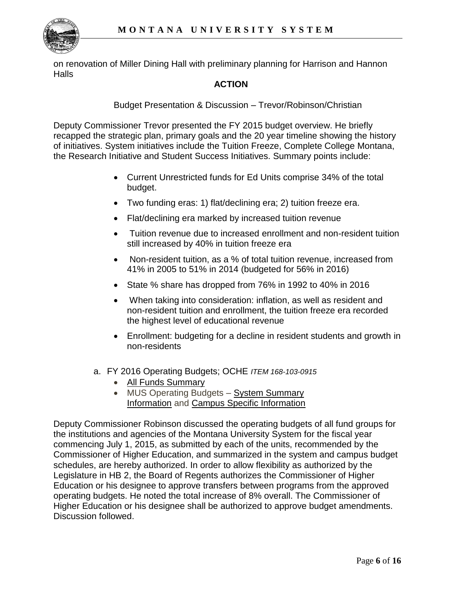

on renovation of Miller Dining Hall with preliminary planning for Harrison and Hannon **Halls** 

## **ACTION**

Budget Presentation & Discussion – Trevor/Robinson/Christian

Deputy Commissioner Trevor presented the FY 2015 budget overview. He briefly recapped the strategic plan, primary goals and the 20 year timeline showing the history of initiatives. System initiatives include the Tuition Freeze, Complete College Montana, the Research Initiative and Student Success Initiatives. Summary points include:

- Current Unrestricted funds for Ed Units comprise 34% of the total budget.
- Two funding eras: 1) flat/declining era; 2) tuition freeze era.
- Flat/declining era marked by increased tuition revenue
- Tuition revenue due to increased enrollment and non-resident tuition still increased by 40% in tuition freeze era
- Non-resident tuition, as a % of total tuition revenue, increased from 41% in 2005 to 51% in 2014 (budgeted for 56% in 2016)
- State % share has dropped from 76% in 1992 to 40% in 2016
- When taking into consideration: inflation, as well as resident and non-resident tuition and enrollment, the tuition freeze era recorded the highest level of educational revenue
- Enrollment: budgeting for a decline in resident students and growth in non-residents
- a. FY 2016 Operating Budgets; OCHE *ITEM 168-103-0915*
	- All Funds Summary
	- MUS Operating Budgets System Summary Information and Campus Specific Information

Deputy Commissioner Robinson discussed the operating budgets of all fund groups for the institutions and agencies of the Montana University System for the fiscal year commencing July 1, 2015, as submitted by each of the units, recommended by the Commissioner of Higher Education, and summarized in the system and campus budget schedules, are hereby authorized. In order to allow flexibility as authorized by the Legislature in HB 2, the Board of Regents authorizes the Commissioner of Higher Education or his designee to approve transfers between programs from the approved operating budgets. He noted the total increase of 8% overall. The Commissioner of Higher Education or his designee shall be authorized to approve budget amendments. Discussion followed.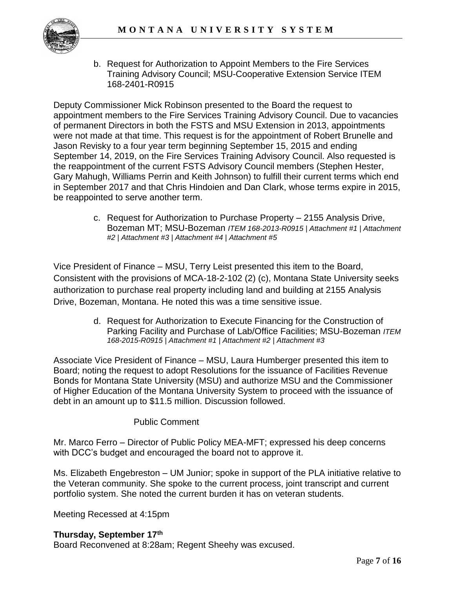

b. Request for Authorization to Appoint Members to the Fire Services Training Advisory Council; MSU-Cooperative Extension Service ITEM 168-2401-R0915

Deputy Commissioner Mick Robinson presented to the Board the request to appointment members to the Fire Services Training Advisory Council. Due to vacancies of permanent Directors in both the FSTS and MSU Extension in 2013, appointments were not made at that time. This request is for the appointment of Robert Brunelle and Jason Revisky to a four year term beginning September 15, 2015 and ending September 14, 2019, on the Fire Services Training Advisory Council. Also requested is the reappointment of the current FSTS Advisory Council members (Stephen Hester, Gary Mahugh, Williams Perrin and Keith Johnson) to fulfill their current terms which end in September 2017 and that Chris Hindoien and Dan Clark, whose terms expire in 2015, be reappointed to serve another term.

> c. Request for Authorization to Purchase Property – 2155 Analysis Drive, Bozeman MT; MSU-Bozeman *ITEM 168-2013-R0915 | Attachment #1 | Attachment #2 | Attachment #3 | Attachment #4 | Attachment #5*

Vice President of Finance – MSU, Terry Leist presented this item to the Board, Consistent with the provisions of MCA-18-2-102 (2) (c), Montana State University seeks authorization to purchase real property including land and building at 2155 Analysis Drive, Bozeman, Montana. He noted this was a time sensitive issue.

> d. Request for Authorization to Execute Financing for the Construction of Parking Facility and Purchase of Lab/Office Facilities; MSU-Bozeman *ITEM 168-2015-R0915 | Attachment #1 | Attachment #2 | Attachment #3*

Associate Vice President of Finance – MSU, Laura Humberger presented this item to Board; noting the request to adopt Resolutions for the issuance of Facilities Revenue Bonds for Montana State University (MSU) and authorize MSU and the Commissioner of Higher Education of the Montana University System to proceed with the issuance of debt in an amount up to \$11.5 million. Discussion followed.

Public Comment

Mr. Marco Ferro – Director of Public Policy MEA-MFT; expressed his deep concerns with DCC's budget and encouraged the board not to approve it.

Ms. Elizabeth Engebreston – UM Junior; spoke in support of the PLA initiative relative to the Veteran community. She spoke to the current process, joint transcript and current portfolio system. She noted the current burden it has on veteran students.

Meeting Recessed at 4:15pm

### **Thursday, September 17th**

Board Reconvened at 8:28am; Regent Sheehy was excused.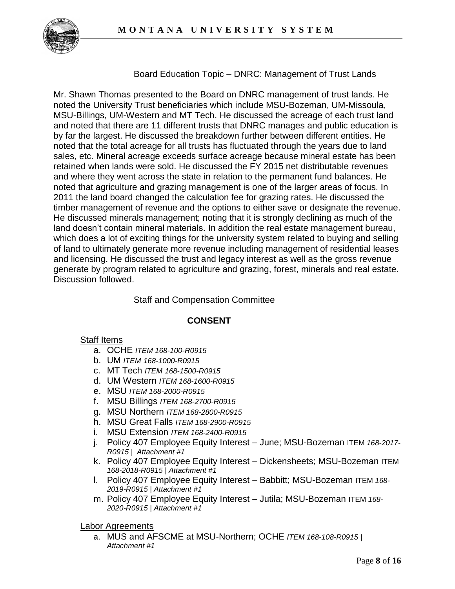

Board Education Topic – DNRC: Management of Trust Lands

Mr. Shawn Thomas presented to the Board on DNRC management of trust lands. He noted the University Trust beneficiaries which include MSU-Bozeman, UM-Missoula, MSU-Billings, UM-Western and MT Tech. He discussed the acreage of each trust land and noted that there are 11 different trusts that DNRC manages and public education is by far the largest. He discussed the breakdown further between different entities. He noted that the total acreage for all trusts has fluctuated through the years due to land sales, etc. Mineral acreage exceeds surface acreage because mineral estate has been retained when lands were sold. He discussed the FY 2015 net distributable revenues and where they went across the state in relation to the permanent fund balances. He noted that agriculture and grazing management is one of the larger areas of focus. In 2011 the land board changed the calculation fee for grazing rates. He discussed the timber management of revenue and the options to either save or designate the revenue. He discussed minerals management; noting that it is strongly declining as much of the land doesn't contain mineral materials. In addition the real estate management bureau, which does a lot of exciting things for the university system related to buying and selling of land to ultimately generate more revenue including management of residential leases and licensing. He discussed the trust and legacy interest as well as the gross revenue generate by program related to agriculture and grazing, forest, minerals and real estate. Discussion followed.

### Staff and Compensation Committee

### **CONSENT**

### Staff Items

- a. OCHE *ITEM 168-100-R0915*
- b. UM *ITEM 168-1000-R0915*
- c. MT Tech *ITEM 168-1500-R0915*
- d. UM Western *ITEM 168-1600-R0915*
- e. MSU *ITEM 168-2000-R0915*
- f. MSU Billings *ITEM 168*-*2700-R0915*
- g. MSU Northern *ITEM 168-2800-R0915*
- h. MSU Great Falls *ITEM 168-2900-R0915*
- i. MSU Extension *ITEM 168-2400-R0915*
- j. Policy 407 Employee Equity Interest June; MSU-Bozeman ITEM *168-2017- R0915 | Attachment #1*
- k. Policy 407 Employee Equity Interest Dickensheets; MSU-Bozeman ITEM *168-2018-R0915 | Attachment #1*
- l. Policy 407 Employee Equity Interest Babbitt; MSU-Bozeman ITEM *168- 2019-R0915 | Attachment #1*
- m. Policy 407 Employee Equity Interest Jutila; MSU-Bozeman ITEM *168- 2020-R0915 | Attachment #1*

Labor Agreements

a. MUS and AFSCME at MSU-Northern; OCHE *ITEM 168-108-R0915 | Attachment #1*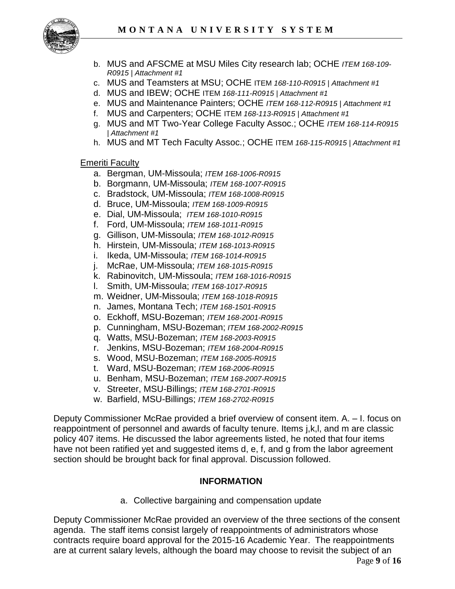

- b. MUS and AFSCME at MSU Miles City research lab; OCHE *ITEM 168-109- R0915 | Attachment #1*
- c. MUS and Teamsters at MSU; OCHE ITEM *168-110-R0915 | Attachment #1*
- d. MUS and IBEW; OCHE ITEM *168-111-R0915 | Attachment #1*
- e. MUS and Maintenance Painters; OCHE *ITEM 168-112-R0915 | Attachment #1*
- f. MUS and Carpenters; OCHE ITEM *168-113-R0915 | Attachment #1*
- g. MUS and MT Two-Year College Faculty Assoc.; OCHE *ITEM 168-114-R0915 | Attachment #1*
- h. MUS and MT Tech Faculty Assoc.; OCHE ITEM *168-115-R0915 | Attachment #1*

### Emeriti Faculty

- a. Bergman, UM-Missoula; *ITEM 168-1006-R0915*
- b. Borgmann, UM-Missoula; *ITEM 168-1007-R0915*
- c. Bradstock, UM-Missoula; *ITEM 168-1008-R0915*
- d. Bruce, UM-Missoula; *ITEM 168-1009-R0915*
- e. Dial, UM-Missoula; *ITEM 168-1010-R0915*
- f. Ford, UM-Missoula; *ITEM 168-1011-R0915*
- g. Gillison, UM-Missoula; *ITEM 168-1012-R0915*
- h. Hirstein, UM-Missoula; *ITEM 168-1013-R0915*
- i. Ikeda, UM-Missoula; *ITEM 168-1014-R0915*
- j. McRae, UM-Missoula; *ITEM 168-1015-R0915*
- k. Rabinovitch, UM-Missoula; *ITEM 168-1016-R0915*
- l. Smith, UM-Missoula; *ITEM 168-1017-R0915*
- m. Weidner, UM-Missoula; *ITEM 168-1018-R0915*
- n. James, Montana Tech; *ITEM 168-1501-R0915*
- o. Eckhoff, MSU-Bozeman; *ITEM 168-2001-R0915*
- p. Cunningham, MSU-Bozeman; *ITEM 168-2002-R0915*
- q. Watts, MSU-Bozeman; *ITEM 168-2003-R0915*
- r. Jenkins, MSU-Bozeman; *ITEM 168-2004-R0915*
- s. Wood, MSU-Bozeman; *ITEM 168-2005-R0915*
- t. Ward, MSU-Bozeman; *ITEM 168-2006-R0915*
- u. Benham, MSU-Bozeman; *ITEM 168-2007-R0915*
- v. Streeter, MSU-Billings; *ITEM 168-2701-R0915*
- w. Barfield, MSU-Billings; *ITEM 168-2702-R0915*

Deputy Commissioner McRae provided a brief overview of consent item. A. – I. focus on reappointment of personnel and awards of faculty tenure. Items j,k,l, and m are classic policy 407 items. He discussed the labor agreements listed, he noted that four items have not been ratified yet and suggested items d, e, f, and g from the labor agreement section should be brought back for final approval. Discussion followed.

#### **INFORMATION**

a. Collective bargaining and compensation update

Page **9** of **16** Deputy Commissioner McRae provided an overview of the three sections of the consent agenda. The staff items consist largely of reappointments of administrators whose contracts require board approval for the 2015-16 Academic Year. The reappointments are at current salary levels, although the board may choose to revisit the subject of an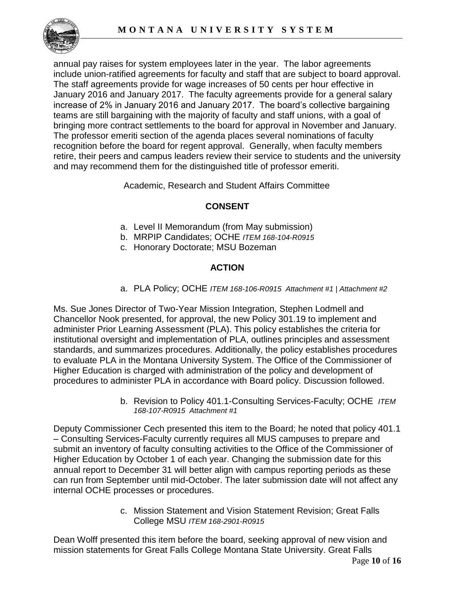

annual pay raises for system employees later in the year. The labor agreements include union-ratified agreements for faculty and staff that are subject to board approval. The staff agreements provide for wage increases of 50 cents per hour effective in January 2016 and January 2017. The faculty agreements provide for a general salary increase of 2% in January 2016 and January 2017. The board's collective bargaining teams are still bargaining with the majority of faculty and staff unions, with a goal of bringing more contract settlements to the board for approval in November and January. The professor emeriti section of the agenda places several nominations of faculty recognition before the board for regent approval. Generally, when faculty members retire, their peers and campus leaders review their service to students and the university and may recommend them for the distinguished title of professor emeriti.

Academic, Research and Student Affairs Committee

# **CONSENT**

- a. Level II Memorandum (from May submission)
- b. MRPIP Candidates; OCHE *ITEM 168-104-R0915*
- c. Honorary Doctorate; MSU Bozeman

# **ACTION**

a. PLA Policy; OCHE *ITEM 168-106-R0915 Attachment #1 | Attachment #2*

Ms. Sue Jones Director of Two-Year Mission Integration, Stephen Lodmell and Chancellor Nook presented, for approval, the new Policy 301.19 to implement and administer Prior Learning Assessment (PLA). This policy establishes the criteria for institutional oversight and implementation of PLA, outlines principles and assessment standards, and summarizes procedures. Additionally, the policy establishes procedures to evaluate PLA in the Montana University System. The Office of the Commissioner of Higher Education is charged with administration of the policy and development of procedures to administer PLA in accordance with Board policy. Discussion followed.

> b. Revision to Policy 401.1-Consulting Services-Faculty; OCHE *ITEM 168-107-R0915 Attachment #1*

Deputy Commissioner Cech presented this item to the Board; he noted that policy 401.1 – Consulting Services-Faculty currently requires all MUS campuses to prepare and submit an inventory of faculty consulting activities to the Office of the Commissioner of Higher Education by October 1 of each year. Changing the submission date for this annual report to December 31 will better align with campus reporting periods as these can run from September until mid-October. The later submission date will not affect any internal OCHE processes or procedures.

> c. Mission Statement and Vision Statement Revision; Great Falls College MSU *ITEM 168-2901-R0915*

Dean Wolff presented this item before the board, seeking approval of new vision and mission statements for Great Falls College Montana State University. Great Falls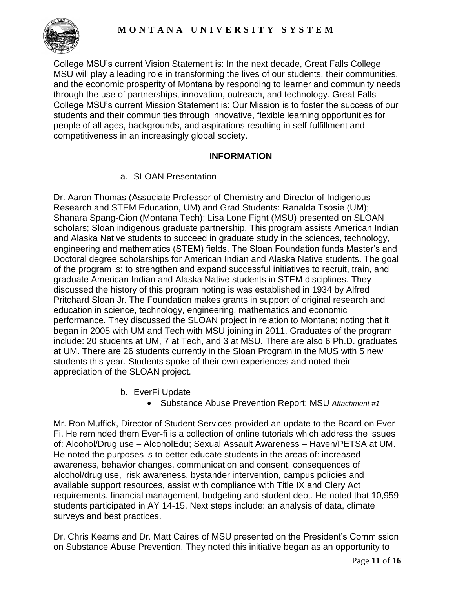

College MSU's current Vision Statement is: In the next decade, Great Falls College MSU will play a leading role in transforming the lives of our students, their communities, and the economic prosperity of Montana by responding to learner and community needs through the use of partnerships, innovation, outreach, and technology. Great Falls College MSU's current Mission Statement is: Our Mission is to foster the success of our students and their communities through innovative, flexible learning opportunities for people of all ages, backgrounds, and aspirations resulting in self-fulfillment and competitiveness in an increasingly global society.

# **INFORMATION**

a. SLOAN Presentation

Dr. Aaron Thomas (Associate Professor of Chemistry and Director of Indigenous Research and STEM Education, UM) and Grad Students: Ranalda Tsosie (UM); Shanara Spang-Gion (Montana Tech); Lisa Lone Fight (MSU) presented on SLOAN scholars; Sloan indigenous graduate partnership. This program assists American Indian and Alaska Native students to succeed in graduate study in the sciences, technology, engineering and mathematics (STEM) fields. The Sloan Foundation funds Master's and Doctoral degree scholarships for American Indian and Alaska Native students. The goal of the program is: to strengthen and expand successful initiatives to recruit, train, and graduate American Indian and Alaska Native students in STEM disciplines. They discussed the history of this program noting is was established in 1934 by Alfred Pritchard Sloan Jr. The Foundation makes grants in support of original research and education in science, technology, engineering, mathematics and economic performance. They discussed the SLOAN project in relation to Montana; noting that it began in 2005 with UM and Tech with MSU joining in 2011. Graduates of the program include: 20 students at UM, 7 at Tech, and 3 at MSU. There are also 6 Ph.D. graduates at UM. There are 26 students currently in the Sloan Program in the MUS with 5 new students this year. Students spoke of their own experiences and noted their appreciation of the SLOAN project.

- b. EverFi Update
	- Substance Abuse Prevention Report; MSU *Attachment #1*

Mr. Ron Muffick, Director of Student Services provided an update to the Board on Ever-Fi. He reminded them Ever-fi is a collection of online tutorials which address the issues of: Alcohol/Drug use – AlcoholEdu; Sexual Assault Awareness – Haven/PETSA at UM. He noted the purposes is to better educate students in the areas of: increased awareness, behavior changes, communication and consent, consequences of alcohol/drug use, risk awareness, bystander intervention, campus policies and available support resources, assist with compliance with Title IX and Clery Act requirements, financial management, budgeting and student debt. He noted that 10,959 students participated in AY 14-15. Next steps include: an analysis of data, climate surveys and best practices.

Dr. Chris Kearns and Dr. Matt Caires of MSU presented on the President's Commission on Substance Abuse Prevention. They noted this initiative began as an opportunity to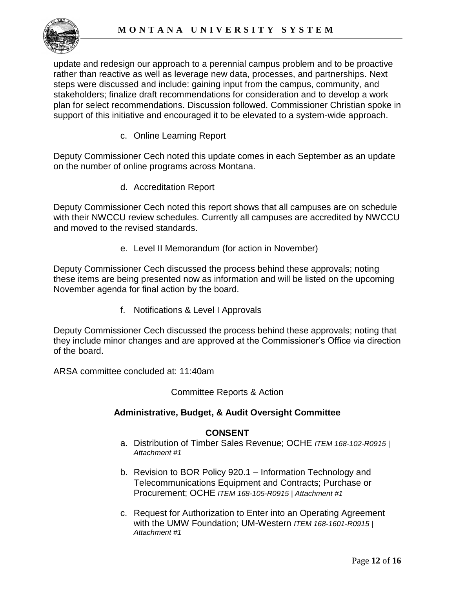update and redesign our approach to a perennial campus problem and to be proactive rather than reactive as well as leverage new data, processes, and partnerships. Next steps were discussed and include: gaining input from the campus, community, and stakeholders; finalize draft recommendations for consideration and to develop a work plan for select recommendations. Discussion followed. Commissioner Christian spoke in support of this initiative and encouraged it to be elevated to a system-wide approach.

c. Online Learning Report

Deputy Commissioner Cech noted this update comes in each September as an update on the number of online programs across Montana.

d. Accreditation Report

Deputy Commissioner Cech noted this report shows that all campuses are on schedule with their NWCCU review schedules. Currently all campuses are accredited by NWCCU and moved to the revised standards.

e. Level II Memorandum (for action in November)

Deputy Commissioner Cech discussed the process behind these approvals; noting these items are being presented now as information and will be listed on the upcoming November agenda for final action by the board.

f. Notifications & Level I Approvals

Deputy Commissioner Cech discussed the process behind these approvals; noting that they include minor changes and are approved at the Commissioner's Office via direction of the board.

ARSA committee concluded at: 11:40am

Committee Reports & Action

### **Administrative, Budget, & Audit Oversight Committee**

### **CONSENT**

- a. Distribution of Timber Sales Revenue; OCHE *ITEM 168-102-R0915 | Attachment #1*
- b. Revision to BOR Policy 920.1 Information Technology and Telecommunications Equipment and Contracts; Purchase or Procurement; OCHE *ITEM 168-105-R0915 | Attachment #1*
- c. Request for Authorization to Enter into an Operating Agreement with the UMW Foundation; UM-Western *ITEM 168-1601-R0915 | Attachment #1*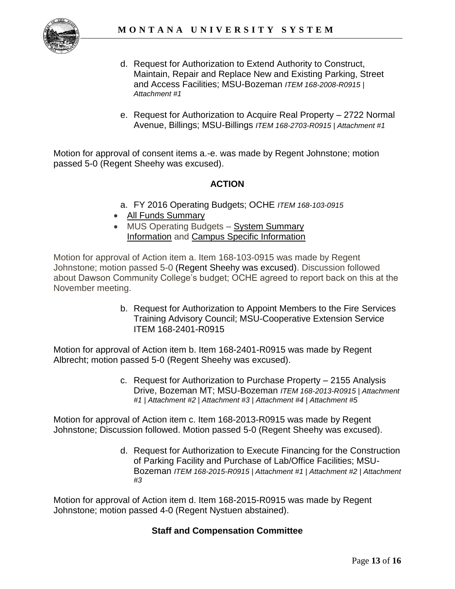

- d. Request for Authorization to Extend Authority to Construct, Maintain, Repair and Replace New and Existing Parking, Street and Access Facilities; MSU-Bozeman *ITEM 168-2008-R0915 | Attachment #1*
- e. Request for Authorization to Acquire Real Property 2722 Normal Avenue, Billings; MSU-Billings *ITEM 168-2703-R0915 | Attachment #1*

Motion for approval of consent items a.-e. was made by Regent Johnstone; motion passed 5-0 (Regent Sheehy was excused).

## **ACTION**

- a. FY 2016 Operating Budgets; OCHE *ITEM 168-103-0915*
- All Funds Summary
- MUS Operating Budgets System Summary Information and Campus Specific Information

Motion for approval of Action item a. Item 168-103-0915 was made by Regent Johnstone; motion passed 5-0 (Regent Sheehy was excused). Discussion followed about Dawson Community College's budget; OCHE agreed to report back on this at the November meeting.

> b. Request for Authorization to Appoint Members to the Fire Services Training Advisory Council; MSU-Cooperative Extension Service ITEM 168-2401-R0915

Motion for approval of Action item b. Item 168-2401-R0915 was made by Regent Albrecht; motion passed 5-0 (Regent Sheehy was excused).

> c. Request for Authorization to Purchase Property – 2155 Analysis Drive, Bozeman MT; MSU-Bozeman *ITEM 168-2013-R0915 | Attachment #1 | Attachment #2 | Attachment #3 | Attachment #4 | Attachment #5*

Motion for approval of Action item c. Item 168-2013-R0915 was made by Regent Johnstone; Discussion followed. Motion passed 5-0 (Regent Sheehy was excused).

> d. Request for Authorization to Execute Financing for the Construction of Parking Facility and Purchase of Lab/Office Facilities; MSU-Bozeman *ITEM 168-2015-R0915 | Attachment #1 | Attachment #2 | Attachment #3*

Motion for approval of Action item d. Item 168-2015-R0915 was made by Regent Johnstone; motion passed 4-0 (Regent Nystuen abstained).

### **Staff and Compensation Committee**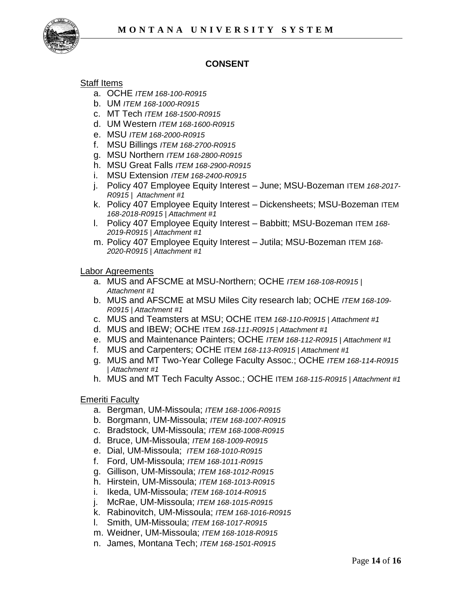

# **CONSENT**

## Staff Items

- a. OCHE *ITEM 168-100-R0915*
- b. UM *ITEM 168-1000-R0915*
- c. MT Tech *ITEM 168-1500-R0915*
- d. UM Western *ITEM 168-1600-R0915*
- e. MSU *ITEM 168-2000-R0915*
- f. MSU Billings *ITEM 168*-*2700-R0915*
- g. MSU Northern *ITEM 168-2800-R0915*
- h. MSU Great Falls *ITEM 168-2900-R0915*
- i. MSU Extension *ITEM 168-2400-R0915*
- j. Policy 407 Employee Equity Interest June; MSU-Bozeman ITEM *168-2017- R0915 | Attachment #1*
- k. Policy 407 Employee Equity Interest Dickensheets; MSU-Bozeman ITEM *168-2018-R0915 | Attachment #1*
- l. Policy 407 Employee Equity Interest Babbitt; MSU-Bozeman ITEM *168- 2019-R0915 | Attachment #1*
- m. Policy 407 Employee Equity Interest Jutila; MSU-Bozeman ITEM *168- 2020-R0915 | Attachment #1*

#### Labor Agreements

- a. MUS and AFSCME at MSU-Northern; OCHE *ITEM 168-108-R0915 | Attachment #1*
- b. MUS and AFSCME at MSU Miles City research lab; OCHE *ITEM 168-109- R0915 | Attachment #1*
- c. MUS and Teamsters at MSU; OCHE ITEM *168-110-R0915 | Attachment #1*
- d. MUS and IBEW; OCHE ITEM *168-111-R0915 | Attachment #1*
- e. MUS and Maintenance Painters; OCHE *ITEM 168-112-R0915 | Attachment #1*
- f. MUS and Carpenters; OCHE ITEM *168-113-R0915 | Attachment #1*
- g. MUS and MT Two-Year College Faculty Assoc.; OCHE *ITEM 168-114-R0915 | Attachment #1*
- h. MUS and MT Tech Faculty Assoc.; OCHE ITEM *168-115-R0915 | Attachment #1*

#### Emeriti Faculty

- a. Bergman, UM-Missoula; *ITEM 168-1006-R0915*
- b. Borgmann, UM-Missoula; *ITEM 168-1007-R0915*
- c. Bradstock, UM-Missoula; *ITEM 168-1008-R0915*
- d. Bruce, UM-Missoula; *ITEM 168-1009-R0915*
- e. Dial, UM-Missoula; *ITEM 168-1010-R0915*
- f. Ford, UM-Missoula; *ITEM 168-1011-R0915*
- g. Gillison, UM-Missoula; *ITEM 168-1012-R0915*
- h. Hirstein, UM-Missoula; *ITEM 168-1013-R0915*
- i. Ikeda, UM-Missoula; *ITEM 168-1014-R0915*
- j. McRae, UM-Missoula; *ITEM 168-1015-R0915*
- k. Rabinovitch, UM-Missoula; *ITEM 168-1016-R0915*
- l. Smith, UM-Missoula; *ITEM 168-1017-R0915*
- m. Weidner, UM-Missoula; *ITEM 168-1018-R0915*
- n. James, Montana Tech; *ITEM 168-1501-R0915*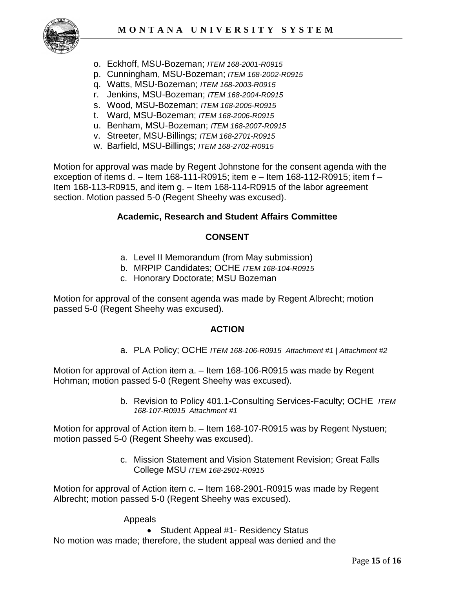

- o. Eckhoff, MSU-Bozeman; *ITEM 168-2001-R0915*
- p. Cunningham, MSU-Bozeman; *ITEM 168-2002-R0915*
- q. Watts, MSU-Bozeman; *ITEM 168-2003-R0915*
- r. Jenkins, MSU-Bozeman; *ITEM 168-2004-R0915*
- s. Wood, MSU-Bozeman; *ITEM 168-2005-R0915*
- t. Ward, MSU-Bozeman; *ITEM 168-2006-R0915*
- u. Benham, MSU-Bozeman; *ITEM 168-2007-R0915*
- v. Streeter, MSU-Billings; *ITEM 168-2701-R0915*
- w. Barfield, MSU-Billings; *ITEM 168-2702-R0915*

Motion for approval was made by Regent Johnstone for the consent agenda with the exception of items d. – Item 168-111-R0915; item e – Item 168-112-R0915; item f – Item 168-113-R0915, and item g. - Item 168-114-R0915 of the labor agreement section. Motion passed 5-0 (Regent Sheehy was excused).

### **Academic, Research and Student Affairs Committee**

### **CONSENT**

- a. Level II Memorandum (from May submission)
- b. MRPIP Candidates; OCHE *ITEM 168-104-R0915*
- c. Honorary Doctorate; MSU Bozeman

Motion for approval of the consent agenda was made by Regent Albrecht; motion passed 5-0 (Regent Sheehy was excused).

### **ACTION**

a. PLA Policy; OCHE *ITEM 168-106-R0915 Attachment #1 | Attachment #2*

Motion for approval of Action item a. – Item 168-106-R0915 was made by Regent Hohman; motion passed 5-0 (Regent Sheehy was excused).

> b. Revision to Policy 401.1-Consulting Services-Faculty; OCHE *ITEM 168-107-R0915 Attachment #1*

Motion for approval of Action item b. – Item 168-107-R0915 was by Regent Nystuen; motion passed 5-0 (Regent Sheehy was excused).

> c. Mission Statement and Vision Statement Revision; Great Falls College MSU *ITEM 168-2901-R0915*

Motion for approval of Action item c. – Item 168-2901-R0915 was made by Regent Albrecht; motion passed 5-0 (Regent Sheehy was excused).

Appeals

• Student Appeal #1- Residency Status

No motion was made; therefore, the student appeal was denied and the